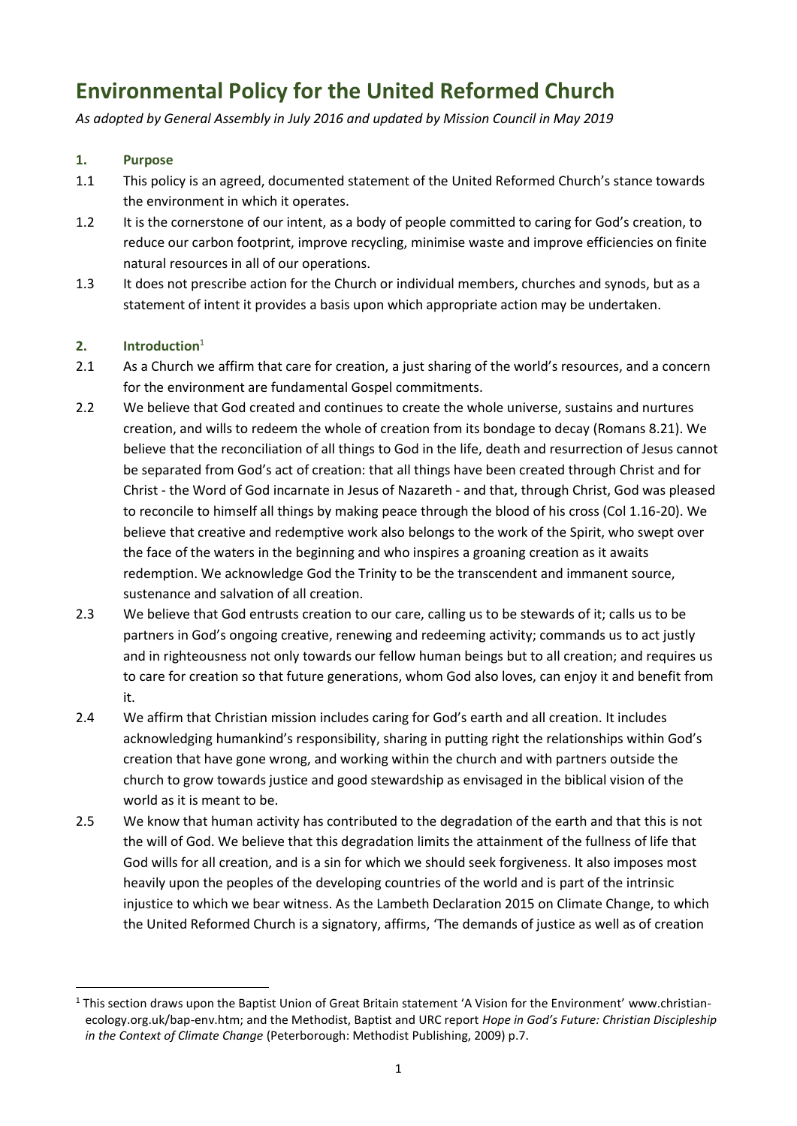# **Environmental Policy for the United Reformed Church**

*As adopted by General Assembly in July 2016 and updated by Mission Council in May 2019*

# **1. Purpose**

- 1.1 This policy is an agreed, documented statement of the United Reformed Church's stance towards the environment in which it operates.
- 1.2 It is the cornerstone of our intent, as a body of people committed to caring for God's creation, to reduce our carbon footprint, improve recycling, minimise waste and improve efficiencies on finite natural resources in all of our operations.
- 1.3 It does not prescribe action for the Church or individual members, churches and synods, but as a statement of intent it provides a basis upon which appropriate action may be undertaken.

# **2. Introduction**<sup>1</sup>

**.** 

- 2.1 As a Church we affirm that care for creation, a just sharing of the world's resources, and a concern for the environment are fundamental Gospel commitments.
- 2.2 We believe that God created and continues to create the whole universe, sustains and nurtures creation, and wills to redeem the whole of creation from its bondage to decay (Romans 8.21). We believe that the reconciliation of all things to God in the life, death and resurrection of Jesus cannot be separated from God's act of creation: that all things have been created through Christ and for Christ - the Word of God incarnate in Jesus of Nazareth - and that, through Christ, God was pleased to reconcile to himself all things by making peace through the blood of his cross (Col 1.16-20). We believe that creative and redemptive work also belongs to the work of the Spirit, who swept over the face of the waters in the beginning and who inspires a groaning creation as it awaits redemption. We acknowledge God the Trinity to be the transcendent and immanent source, sustenance and salvation of all creation.
- 2.3 We believe that God entrusts creation to our care, calling us to be stewards of it; calls us to be partners in God's ongoing creative, renewing and redeeming activity; commands us to act justly and in righteousness not only towards our fellow human beings but to all creation; and requires us to care for creation so that future generations, whom God also loves, can enjoy it and benefit from it.
- 2.4 We affirm that Christian mission includes caring for God's earth and all creation. It includes acknowledging humankind's responsibility, sharing in putting right the relationships within God's creation that have gone wrong, and working within the church and with partners outside the church to grow towards justice and good stewardship as envisaged in the biblical vision of the world as it is meant to be.
- 2.5 We know that human activity has contributed to the degradation of the earth and that this is not the will of God. We believe that this degradation limits the attainment of the fullness of life that God wills for all creation, and is a sin for which we should seek forgiveness. It also imposes most heavily upon the peoples of the developing countries of the world and is part of the intrinsic injustice to which we bear witness. As the Lambeth Declaration 2015 on Climate Change, to which the United Reformed Church is a signatory, affirms, 'The demands of justice as well as of creation

 $1$  This section draws upon the Baptist Union of Great Britain statement 'A Vision for the Environment' [www.christian](http://www.christian-ecology.org.uk/bap-env.htm)[ecology.org.uk/bap-env.htm;](http://www.christian-ecology.org.uk/bap-env.htm) and the Methodist, Baptist and URC report *Hope in God's Future: Christian Discipleship in the Context of Climate Change* (Peterborough: Methodist Publishing, 2009) p.7.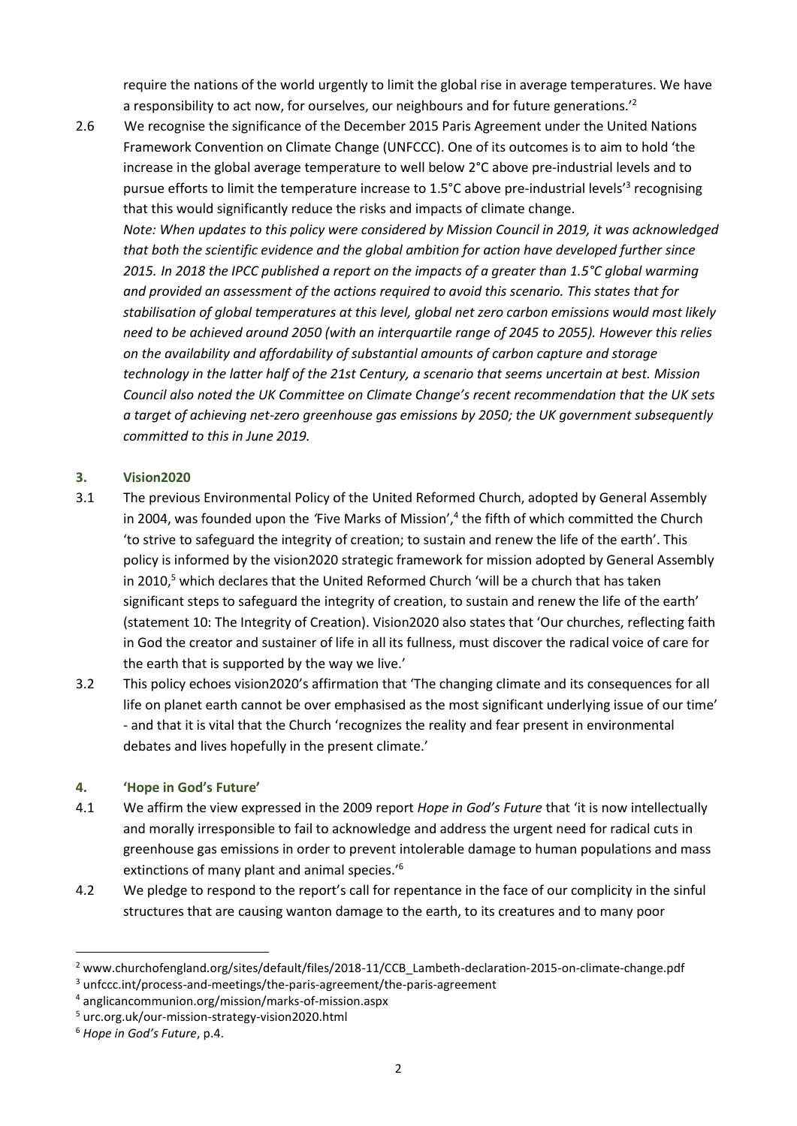require the nations of the world urgently to limit the global rise in average temperatures. We have a responsibility to act now, for ourselves, our neighbours and for future generations.'<sup>2</sup>

2.6 We recognise the significance of the December 2015 Paris Agreement under the United Nations Framework Convention on Climate Change (UNFCCC). One of its outcomes is to aim to hold 'the increase in the global average temperature to well below 2°C above pre-industrial levels and to pursue efforts to limit the temperature increase to 1.5°C above pre-industrial levels<sup>'3</sup> recognising that this would significantly reduce the risks and impacts of climate change. *Note: When updates to this policy were considered by Mission Council in 2019, it was acknowledged that both the scientific evidence and the global ambition for action have developed further since 2015. In 2018 the IPCC published a report on the impacts of a greater than 1.5°C global warming and provided an assessment of the actions required to avoid this scenario. This states that for stabilisation of global temperatures at this level, global net zero carbon emissions would most likely need to be achieved around 2050 (with an interquartile range of 2045 to 2055). However this relies on the availability and affordability of substantial amounts of carbon capture and storage technology in the latter half of the 21st Century, a scenario that seems uncertain at best. Mission Council also noted the UK Committee on Climate Change's recent recommendation that the UK sets a target of achieving net-zero greenhouse gas emissions by 2050; the UK government subsequently committed to this in June 2019.*

### **3. Vision2020**

- 3.1 The previous Environmental Policy of the United Reformed Church, adopted by General Assembly in 2004, was founded upon the *'*Five Marks of Mission', 4 the fifth of which committed the Church 'to strive to safeguard the integrity of creation; to sustain and renew the life of the earth'. This policy is informed by the vision2020 strategic framework for mission adopted by General Assembly in 2010, $5$  which declares that the United Reformed Church 'will be a church that has taken significant steps to safeguard the integrity of creation, to sustain and renew the life of the earth' (statement 10: The Integrity of Creation). Vision2020 also states that 'Our churches, reflecting faith in God the creator and sustainer of life in all its fullness, must discover the radical voice of care for the earth that is supported by the way we live.'
- 3.2 This policy echoes vision2020's affirmation that 'The changing climate and its consequences for all life on planet earth cannot be over emphasised as the most significant underlying issue of our time' - and that it is vital that the Church 'recognizes the reality and fear present in environmental debates and lives hopefully in the present climate.'

#### **4. 'Hope in God's Future'**

- 4.1 We affirm the view expressed in the 2009 report *Hope in God's Future* that 'it is now intellectually and morally irresponsible to fail to acknowledge and address the urgent need for radical cuts in greenhouse gas emissions in order to prevent intolerable damage to human populations and mass extinctions of many plant and animal species.'<sup>6</sup>
- 4.2 We pledge to respond to the report's call for repentance in the face of our complicity in the sinful structures that are causing wanton damage to the earth, to its creatures and to many poor

**.** 

<sup>2</sup> [www.churchofengland.org/sites/default/files/2018-11/CCB\\_Lambeth-declaration-2015-on-climate-change.pdf](http://www.churchofengland.org/sites/default/files/2018-11/CCB_Lambeth-declaration-2015-on-climate-change.pdf)

<sup>3</sup> [unfccc.int/process-and-meetings/the-paris-agreement/the-paris-agreement](https://unfccc.int/process-and-meetings/the-paris-agreement/the-paris-agreement)

<sup>4</sup> [anglicancommunion.org/mission/marks-of-mission.aspx](https://anglicancommunion.org/mission/marks-of-mission.aspx)

<sup>5</sup> [urc.org.uk/our-mission-strategy-vision2020.html](https://urc.org.uk/our-mission-strategy-vision2020.html)

<sup>6</sup> *Hope in God's Future*, p.4.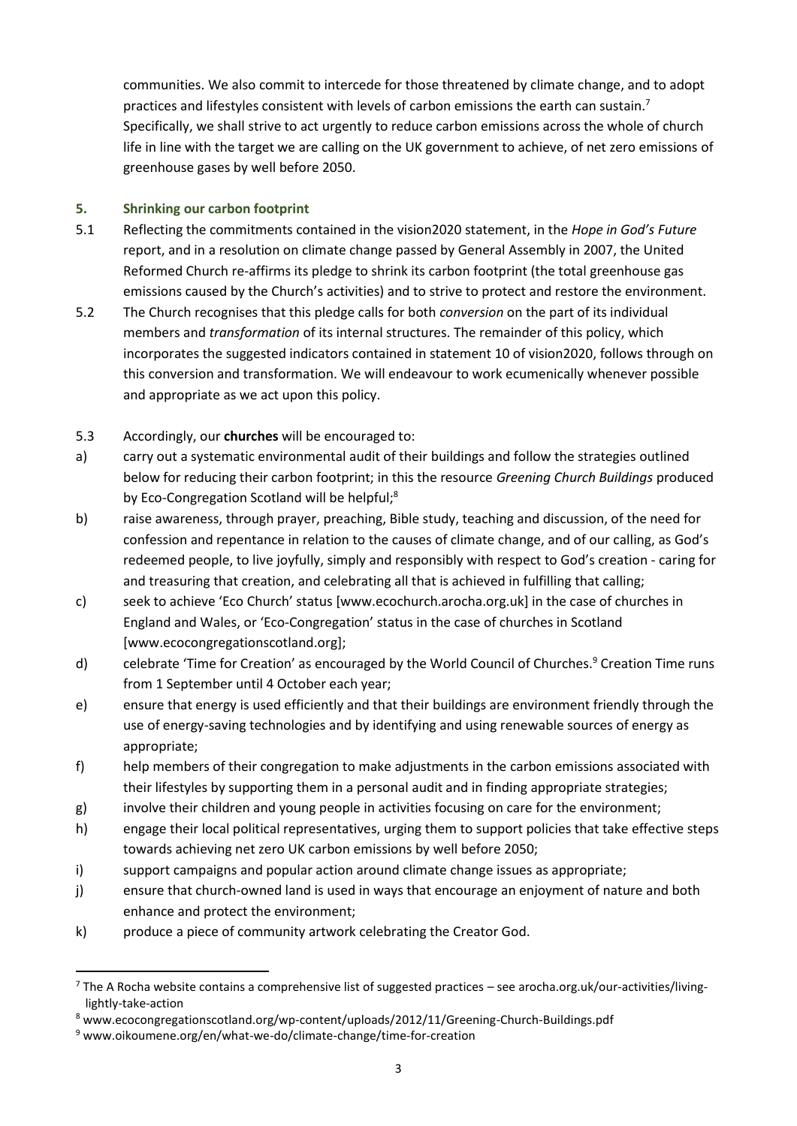communities. We also commit to intercede for those threatened by climate change, and to adopt practices and lifestyles consistent with levels of carbon emissions the earth can sustain.<sup>7</sup> Specifically, we shall strive to act urgently to reduce carbon emissions across the whole of church life in line with the target we are calling on the UK government to achieve, of net zero emissions of greenhouse gases by well before 2050.

# **5. Shrinking our carbon footprint**

- 5.1 Reflecting the commitments contained in the vision2020 statement, in the *Hope in God's Future*  report, and in a resolution on climate change passed by General Assembly in 2007, the United Reformed Church re-affirms its pledge to shrink its carbon footprint (the total greenhouse gas emissions caused by the Church's activities) and to strive to protect and restore the environment.
- 5.2 The Church recognises that this pledge calls for both *conversion* on the part of its individual members and *transformation* of its internal structures. The remainder of this policy, which incorporates the suggested indicators contained in statement 10 of vision2020, follows through on this conversion and transformation. We will endeavour to work ecumenically whenever possible and appropriate as we act upon this policy.
- 5.3 Accordingly, our **churches** will be encouraged to:
- a) carry out a systematic environmental audit of their buildings and follow the strategies outlined below for reducing their carbon footprint; in this the resource *Greening Church Buildings* produced by Eco-Congregation Scotland will be helpful;<sup>8</sup>
- b) raise awareness, through prayer, preaching, Bible study, teaching and discussion, of the need for confession and repentance in relation to the causes of climate change, and of our calling, as God's redeemed people, to live joyfully, simply and responsibly with respect to God's creation - caring for and treasuring that creation, and celebrating all that is achieved in fulfilling that calling;
- c) seek to achieve 'Eco Church' status [[www.ecochurch.arocha.org.uk\]](http://www.ecochurch.arocha.org.uk/) in the case of churches in England and Wales, or 'Eco-Congregation' status in the case of churches in Scotland [\[www.ecocongregationscotland.org\]](http://www.ecocongregationscotland.org/);
- d) celebrate 'Time for Creation' as encouraged by the World Council of Churches.<sup>9</sup> Creation Time runs from 1 September until 4 October each year;
- e) ensure that energy is used efficiently and that their buildings are environment friendly through the use of energy-saving technologies and by identifying and using renewable sources of energy as appropriate;
- f) help members of their congregation to make adjustments in the carbon emissions associated with their lifestyles by supporting them in a personal audit and in finding appropriate strategies;
- g) involve their children and young people in activities focusing on care for the environment;
- h) engage their local political representatives, urging them to support policies that take effective steps towards achieving net zero UK carbon emissions by well before 2050;
- i) support campaigns and popular action around climate change issues as appropriate;
- j) ensure that church-owned land is used in ways that encourage an enjoyment of nature and both enhance and protect the environment;
- k) produce a piece of community artwork celebrating the Creator God.

1

<sup>7</sup> The A Rocha website contains a comprehensive list of suggested practices – se[e arocha.org.uk/our-activities/living](http://arocha.org.uk/our-activities/living-lightly-take-action)[lightly-take-action](http://arocha.org.uk/our-activities/living-lightly-take-action)

<sup>8</sup> [www.ecocongregationscotland.org/wp-content/uploads/2012/11/Greening-Church-Buildings.pdf](http://www.ecocongregationscotland.org/wp-content/uploads/2012/11/Greening-Church-Buildings.pdf)

<sup>9</sup> [www.oikoumene.org/en/what-we-do/climate-change/time-for-creation](http://www.oikoumene.org/en/what-we-do/climate-change/time-for-creation)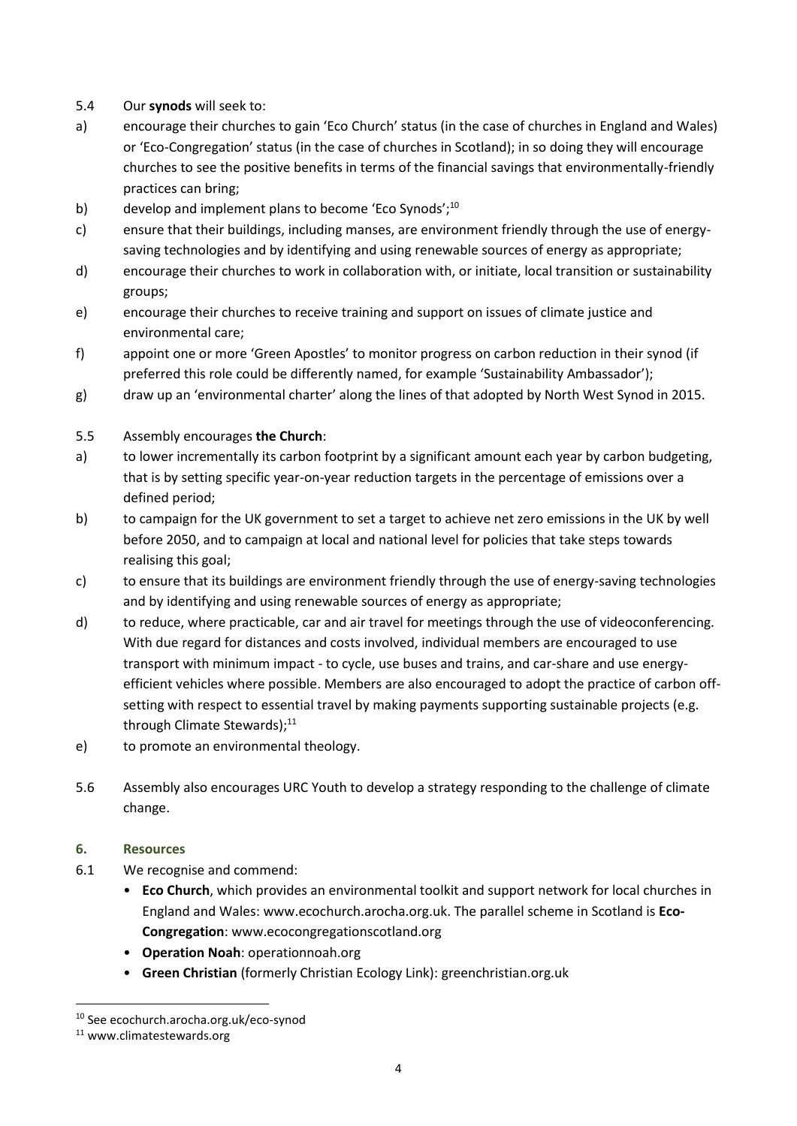- 5.4 Our **synods** will seek to:
- a) encourage their churches to gain 'Eco Church' status (in the case of churches in England and Wales) or 'Eco-Congregation' status (in the case of churches in Scotland); in so doing they will encourage churches to see the positive benefits in terms of the financial savings that environmentally-friendly practices can bring;
- b) develop and implement plans to become 'Eco Synods'; $^{10}$
- c) ensure that their buildings, including manses, are environment friendly through the use of energysaving technologies and by identifying and using renewable sources of energy as appropriate;
- d) encourage their churches to work in collaboration with, or initiate, local transition or sustainability groups;
- e) encourage their churches to receive training and support on issues of climate justice and environmental care;
- f) appoint one or more 'Green Apostles' to monitor progress on carbon reduction in their synod (if preferred this role could be differently named, for example 'Sustainability Ambassador');
- g) draw up an 'environmental charter' along the lines of that adopted by North West Synod in 2015.

### 5.5 Assembly encourages **the Church**:

- a) to lower incrementally its carbon footprint by a significant amount each year by carbon budgeting, that is by setting specific year-on-year reduction targets in the percentage of emissions over a defined period;
- b) to campaign for the UK government to set a target to achieve net zero emissions in the UK by well before 2050, and to campaign at local and national level for policies that take steps towards realising this goal;
- c) to ensure that its buildings are environment friendly through the use of energy-saving technologies and by identifying and using renewable sources of energy as appropriate;
- d) to reduce, where practicable, car and air travel for meetings through the use of videoconferencing. With due regard for distances and costs involved, individual members are encouraged to use transport with minimum impact - to cycle, use buses and trains, and car-share and use energyefficient vehicles where possible. Members are also encouraged to adopt the practice of carbon offsetting with respect to essential travel by making payments supporting sustainable projects (e.g. through Climate Stewards);<sup>11</sup>
- e) to promote an environmental theology.
- 5.6 Assembly also encourages URC Youth to develop a strategy responding to the challenge of climate change.

#### **6. Resources**

- 6.1 We recognise and commend:
	- **Eco Church**, which provides an environmental toolkit and support network for local churches in England and Wales[: www.ecochurch.arocha.org.uk.](http://www.ecochurch.arocha.org.uk/) The parallel scheme in Scotland is **Eco-Congregation**: [www.ecocongregationscotland.org](http://www.ecocongregationscotland.org/)
	- **Operation Noah**: [operationnoah.org](http://www.operationnoah.org/)
	- **Green Christian** (formerly Christian Ecology Link)[: greenchristian.org.uk](http://www.greenchristian.org.uk/)

**.** 

<sup>10</sup> See [ecochurch.arocha.org.uk/eco-synod](https://ecochurch.arocha.org.uk/eco-synod/)

<sup>11</sup> [www.climatestewards.org](http://www.climatestewards.org/)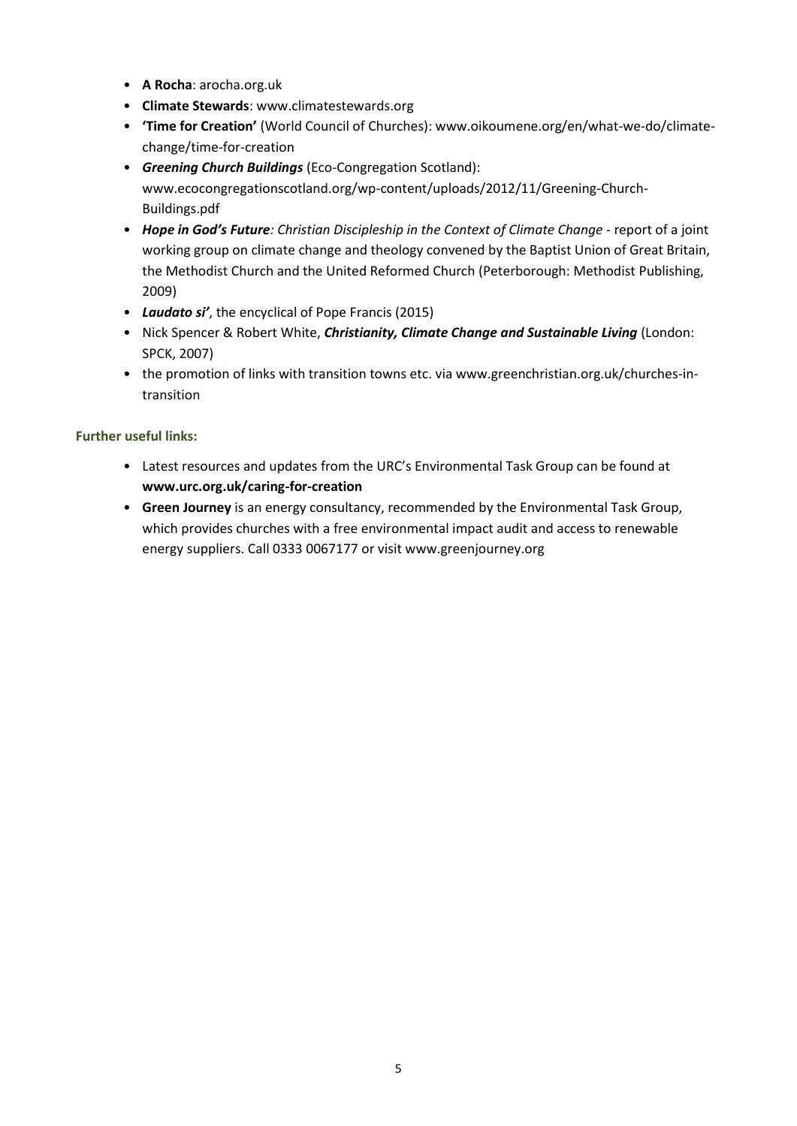- **A Rocha**: [arocha.org.uk](http://www.arocha.org.uk/)
- **Climate Stewards**[: www.climatestewards.org](http://www.climatestewards.org/)
- **'Time for Creation'** (World Council of Churches): [www.oikoumene.org/en/what-we-do/climate](http://www.oikoumene.org/en/what-we-do/climate-change/time-for-creation)[change/time-for-creation](http://www.oikoumene.org/en/what-we-do/climate-change/time-for-creation)
- *Greening Church Buildings* (Eco-Congregation Scotland): [www.ecocongregationscotland.org/wp-content/uploads/2012/11/Greening-Church-](http://www.ecocongregationscotland.org/wp-content/uploads/2012/11/Greening-Church-%20Buildings.pdf)[Buildings.pdf](http://www.ecocongregationscotland.org/wp-content/uploads/2012/11/Greening-Church-%20Buildings.pdf)
- *Hope in God's Future: Christian Discipleship in the Context of Climate Change*  report of a joint working group on climate change and theology convened by the Baptist Union of Great Britain, the Methodist Church and the United Reformed Church (Peterborough: Methodist Publishing, 2009)
- *Laudato si'*, the encyclical of Pope Francis (2015)
- Nick Spencer & Robert White, *Christianity, Climate Change and Sustainable Living* (London: SPCK, 2007)
- the promotion of links with transition towns etc. via [www.greenchristian.org.uk/churches-in](http://www.greenchristian.org.uk/churches-in-transition)[transition](http://www.greenchristian.org.uk/churches-in-transition)

# **Further useful links:**

- Latest resources and updates from the URC's Environmental Task Group can be found at **[www.urc.org.uk/caring-for-creation](http://www.urc.org.uk/caring-for-creation)**
- **Green Journey** is an energy consultancy, recommended by the Environmental Task Group, which provides churches with a free environmental impact audit and access to renewable energy suppliers. Call 0333 0067177 or visi[t www.greenjourney.org](http://www.greenjourney.org/)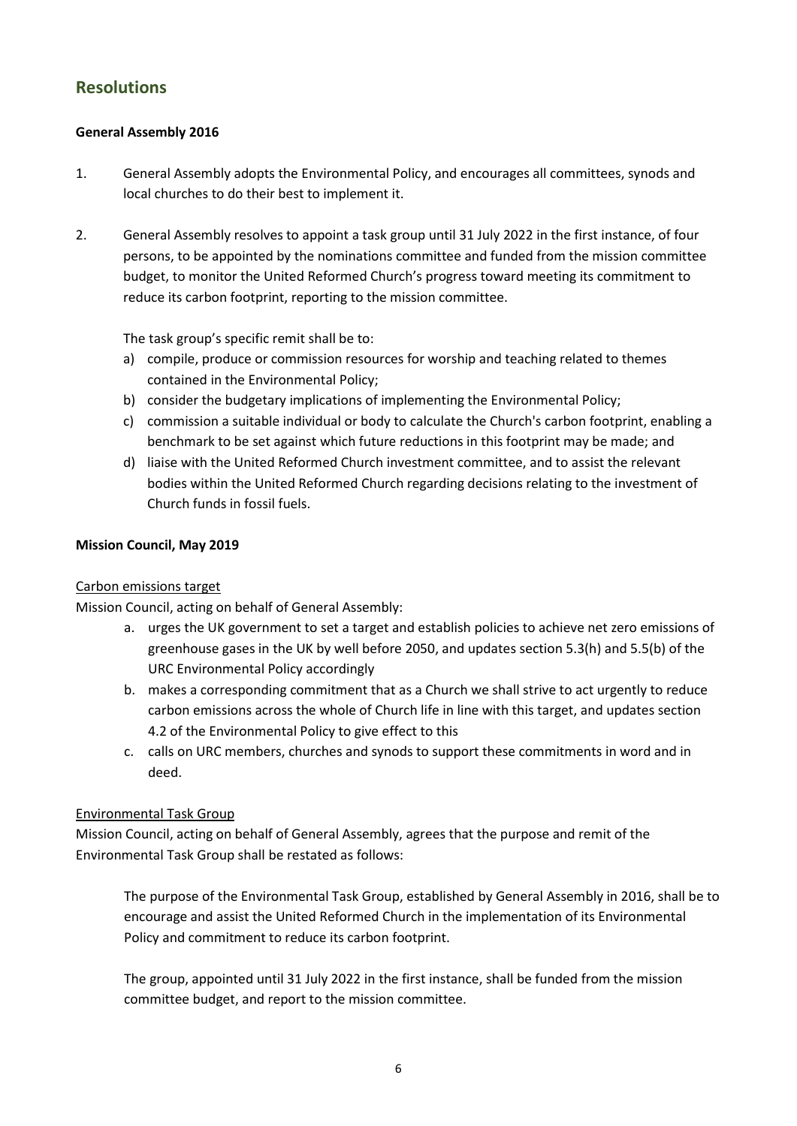# **Resolutions**

# **General Assembly 2016**

- 1. General Assembly adopts the Environmental Policy, and encourages all committees, synods and local churches to do their best to implement it.
- 2. General Assembly resolves to appoint a task group until 31 July 2022 in the first instance, of four persons, to be appointed by the nominations committee and funded from the mission committee budget, to monitor the United Reformed Church's progress toward meeting its commitment to reduce its carbon footprint, reporting to the mission committee.

The task group's specific remit shall be to:

- a) compile, produce or commission resources for worship and teaching related to themes contained in the Environmental Policy;
- b) consider the budgetary implications of implementing the Environmental Policy;
- c) commission a suitable individual or body to calculate the Church's carbon footprint, enabling a benchmark to be set against which future reductions in this footprint may be made; and
- d) liaise with the United Reformed Church investment committee, and to assist the relevant bodies within the United Reformed Church regarding decisions relating to the investment of Church funds in fossil fuels.

### **Mission Council, May 2019**

# Carbon emissions target

Mission Council, acting on behalf of General Assembly:

- a. urges the UK government to set a target and establish policies to achieve net zero emissions of greenhouse gases in the UK by well before 2050, and updates section 5.3(h) and 5.5(b) of the URC Environmental Policy accordingly
- b. makes a corresponding commitment that as a Church we shall strive to act urgently to reduce carbon emissions across the whole of Church life in line with this target, and updates section 4.2 of the Environmental Policy to give effect to this
- c. calls on URC members, churches and synods to support these commitments in word and in deed.

# Environmental Task Group

Mission Council, acting on behalf of General Assembly, agrees that the purpose and remit of the Environmental Task Group shall be restated as follows:

The purpose of the Environmental Task Group, established by General Assembly in 2016, shall be to encourage and assist the United Reformed Church in the implementation of its Environmental Policy and commitment to reduce its carbon footprint.

The group, appointed until 31 July 2022 in the first instance, shall be funded from the mission committee budget, and report to the mission committee.